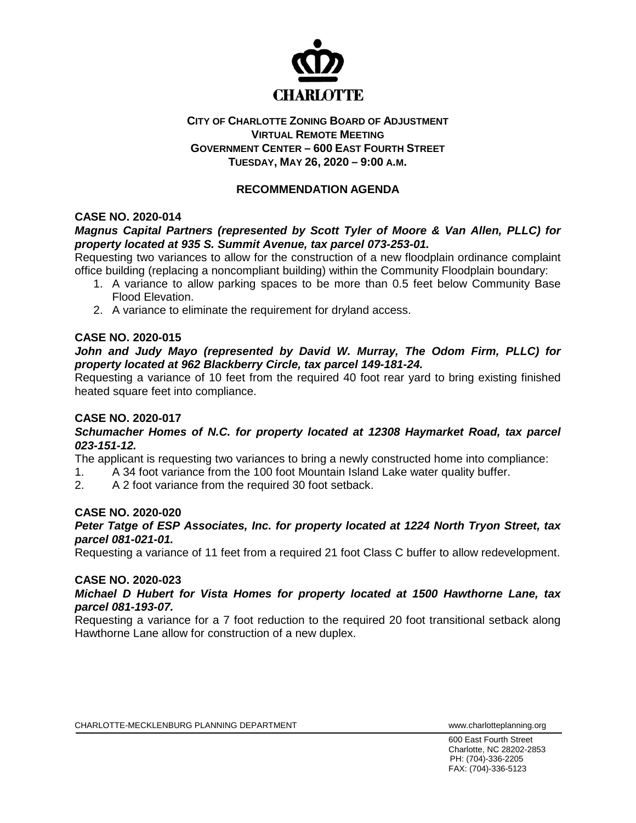

## **CITY OF CHARLOTTE ZONING BOARD OF ADJUSTMENT VIRTUAL REMOTE MEETING GOVERNMENT CENTER – 600 EAST FOURTH STREET TUESDAY, MAY 26, 2020 – 9:00 A.M.**

# **RECOMMENDATION AGENDA**

## **CASE NO. 2020-014**

## *Magnus Capital Partners (represented by Scott Tyler of Moore & Van Allen, PLLC) for property located at 935 S. Summit Avenue, tax parcel 073-253-01.*

Requesting two variances to allow for the construction of a new floodplain ordinance complaint office building (replacing a noncompliant building) within the Community Floodplain boundary:

- 1. A variance to allow parking spaces to be more than 0.5 feet below Community Base Flood Elevation.
- 2. A variance to eliminate the requirement for dryland access.

## **CASE NO. 2020-015**

## *John and Judy Mayo (represented by David W. Murray, The Odom Firm, PLLC) for property located at 962 Blackberry Circle, tax parcel 149-181-24.*

Requesting a variance of 10 feet from the required 40 foot rear yard to bring existing finished heated square feet into compliance.

## **CASE NO. 2020-017**

## *Schumacher Homes of N.C. for property located at 12308 Haymarket Road, tax parcel 023-151-12.*

The applicant is requesting two variances to bring a newly constructed home into compliance:

1. A 34 foot variance from the 100 foot Mountain Island Lake water quality buffer.

2. A 2 foot variance from the required 30 foot setback.

## **CASE NO. 2020-020**

*Peter Tatge of ESP Associates, Inc. for property located at 1224 North Tryon Street, tax parcel 081-021-01.*

Requesting a variance of 11 feet from a required 21 foot Class C buffer to allow redevelopment.

## **CASE NO. 2020-023**

## *Michael D Hubert for Vista Homes for property located at 1500 Hawthorne Lane, tax parcel 081-193-07.*

Requesting a variance for a 7 foot reduction to the required 20 foot transitional setback along Hawthorne Lane allow for construction of a new duplex.

600 East Fourth Street Charlotte, NC 28202-2853 PH: (704)-336-2205 FAX: (704)-336-5123